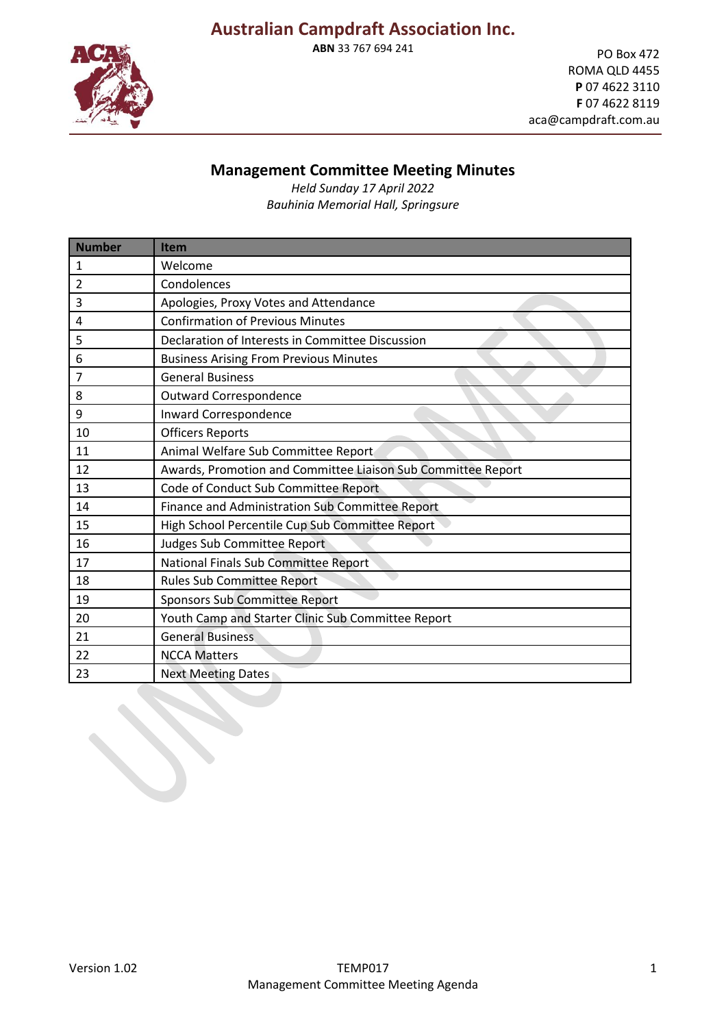**ABN** 33 767 694 241



PO Box 472 ROMA QLD 4455 **P** 07 4622 3110 **F** 07 4622 8119 aca@campdraft.com.au

# **Management Committee Meeting Minutes**

*Held Sunday 17 April 2022 Bauhinia Memorial Hall, Springsure*

| <b>Number</b> | <b>Item</b>                                                  |  |  |  |
|---------------|--------------------------------------------------------------|--|--|--|
| 1             | Welcome                                                      |  |  |  |
| 2             | Condolences                                                  |  |  |  |
| 3             | Apologies, Proxy Votes and Attendance                        |  |  |  |
| 4             | <b>Confirmation of Previous Minutes</b>                      |  |  |  |
| 5             | Declaration of Interests in Committee Discussion             |  |  |  |
| 6             | <b>Business Arising From Previous Minutes</b>                |  |  |  |
| 7             | <b>General Business</b>                                      |  |  |  |
| 8             | <b>Outward Correspondence</b>                                |  |  |  |
| 9             | Inward Correspondence                                        |  |  |  |
| 10            | <b>Officers Reports</b>                                      |  |  |  |
| 11            | Animal Welfare Sub Committee Report                          |  |  |  |
| 12            | Awards, Promotion and Committee Liaison Sub Committee Report |  |  |  |
| 13            | Code of Conduct Sub Committee Report                         |  |  |  |
| 14            | Finance and Administration Sub Committee Report              |  |  |  |
| 15            | High School Percentile Cup Sub Committee Report              |  |  |  |
| 16            | Judges Sub Committee Report                                  |  |  |  |
| 17            | National Finals Sub Committee Report                         |  |  |  |
| 18            | Rules Sub Committee Report                                   |  |  |  |
| 19            | <b>Sponsors Sub Committee Report</b>                         |  |  |  |
| 20            | Youth Camp and Starter Clinic Sub Committee Report           |  |  |  |
| 21            | <b>General Business</b>                                      |  |  |  |
| 22            | <b>NCCA Matters</b>                                          |  |  |  |
| 23            | <b>Next Meeting Dates</b>                                    |  |  |  |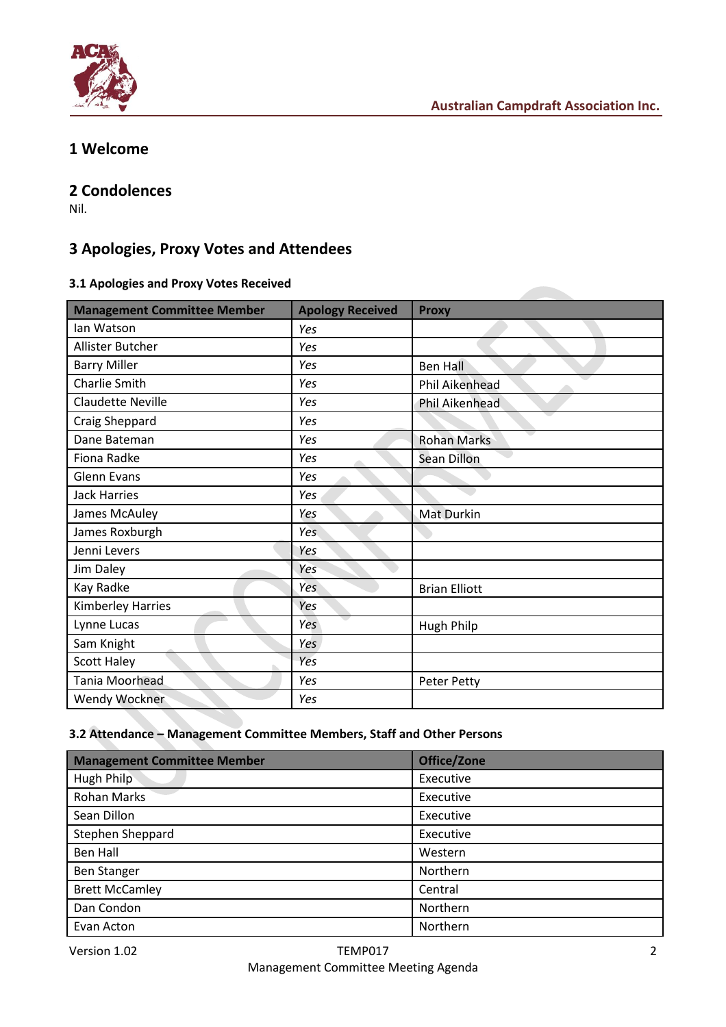

# **1 Welcome**

# **2 Condolences**

Nil.

# **3 Apologies, Proxy Votes and Attendees**

### **3.1 Apologies and Proxy Votes Received**

| <b>Management Committee Member</b> | <b>Apology Received</b> | <b>Proxy</b>          |
|------------------------------------|-------------------------|-----------------------|
| lan Watson                         | Yes                     |                       |
| Allister Butcher                   | Yes                     |                       |
| <b>Barry Miller</b>                | Yes                     | <b>Ben Hall</b>       |
| Charlie Smith                      | Yes                     | <b>Phil Aikenhead</b> |
| <b>Claudette Neville</b>           | Yes                     | Phil Aikenhead        |
| Craig Sheppard                     | Yes                     |                       |
| Dane Bateman                       | Yes                     | <b>Rohan Marks</b>    |
| Fiona Radke                        | Yes                     | Sean Dillon           |
| <b>Glenn Evans</b>                 | Yes                     |                       |
| <b>Jack Harries</b>                | Yes                     |                       |
| James McAuley                      | Yes                     | <b>Mat Durkin</b>     |
| James Roxburgh                     | Yes                     |                       |
| Jenni Levers                       | Yes                     |                       |
| Jim Daley                          | Yes                     |                       |
| Kay Radke                          | Yes                     | <b>Brian Elliott</b>  |
| <b>Kimberley Harries</b>           | Yes                     |                       |
| Lynne Lucas                        | Yes                     | <b>Hugh Philp</b>     |
| Sam Knight                         | Yes                     |                       |
| <b>Scott Haley</b>                 | Yes                     |                       |
| Tania Moorhead                     | Yes                     | Peter Petty           |
| Wendy Wockner                      | Yes                     |                       |

### **3.2 Attendance – Management Committee Members, Staff and Other Persons**

| <b>Management Committee Member</b> | Office/Zone |
|------------------------------------|-------------|
| Hugh Philp                         | Executive   |
| <b>Rohan Marks</b>                 | Executive   |
| Sean Dillon                        | Executive   |
| Stephen Sheppard                   | Executive   |
| Ben Hall                           | Western     |
| <b>Ben Stanger</b>                 | Northern    |
| <b>Brett McCamley</b>              | Central     |
| Dan Condon                         | Northern    |
| Evan Acton                         | Northern    |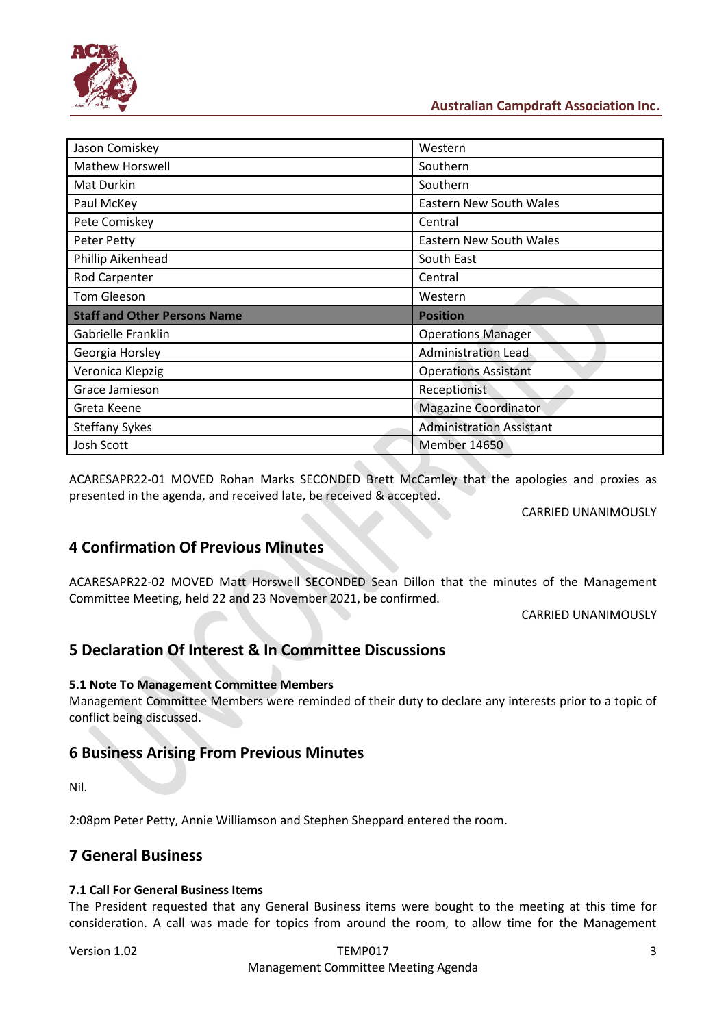

| Jason Comiskey                      | Western                         |
|-------------------------------------|---------------------------------|
| <b>Mathew Horswell</b>              | Southern                        |
| Mat Durkin                          | Southern                        |
| Paul McKey                          | Eastern New South Wales         |
| Pete Comiskey                       | Central                         |
| Peter Petty                         | <b>Eastern New South Wales</b>  |
| Phillip Aikenhead                   | South East                      |
| Rod Carpenter                       | Central                         |
| Tom Gleeson                         | Western                         |
| <b>Staff and Other Persons Name</b> | <b>Position</b>                 |
| Gabrielle Franklin                  | <b>Operations Manager</b>       |
| Georgia Horsley                     | <b>Administration Lead</b>      |
| Veronica Klepzig                    | <b>Operations Assistant</b>     |
| Grace Jamieson                      | <b>Receptionist</b>             |
| Greta Keene                         | <b>Magazine Coordinator</b>     |
| <b>Steffany Sykes</b>               | <b>Administration Assistant</b> |
| <b>Josh Scott</b>                   | <b>Member 14650</b>             |
|                                     |                                 |

ACARESAPR22-01 MOVED Rohan Marks SECONDED Brett McCamley that the apologies and proxies as presented in the agenda, and received late, be received & accepted.

CARRIED UNANIMOUSLY

## **4 Confirmation Of Previous Minutes**

ACARESAPR22-02 MOVED Matt Horswell SECONDED Sean Dillon that the minutes of the Management Committee Meeting, held 22 and 23 November 2021, be confirmed.

CARRIED UNANIMOUSLY

## **5 Declaration Of Interest & In Committee Discussions**

### **5.1 Note To Management Committee Members**

Management Committee Members were reminded of their duty to declare any interests prior to a topic of conflict being discussed.

### **6 Business Arising From Previous Minutes**

Nil.

2:08pm Peter Petty, Annie Williamson and Stephen Sheppard entered the room.

# **7 General Business**

### **7.1 Call For General Business Items**

The President requested that any General Business items were bought to the meeting at this time for consideration. A call was made for topics from around the room, to allow time for the Management

Version 1.02 **Solution 1.02** TEMP017 **3** Management Committee Meeting Agenda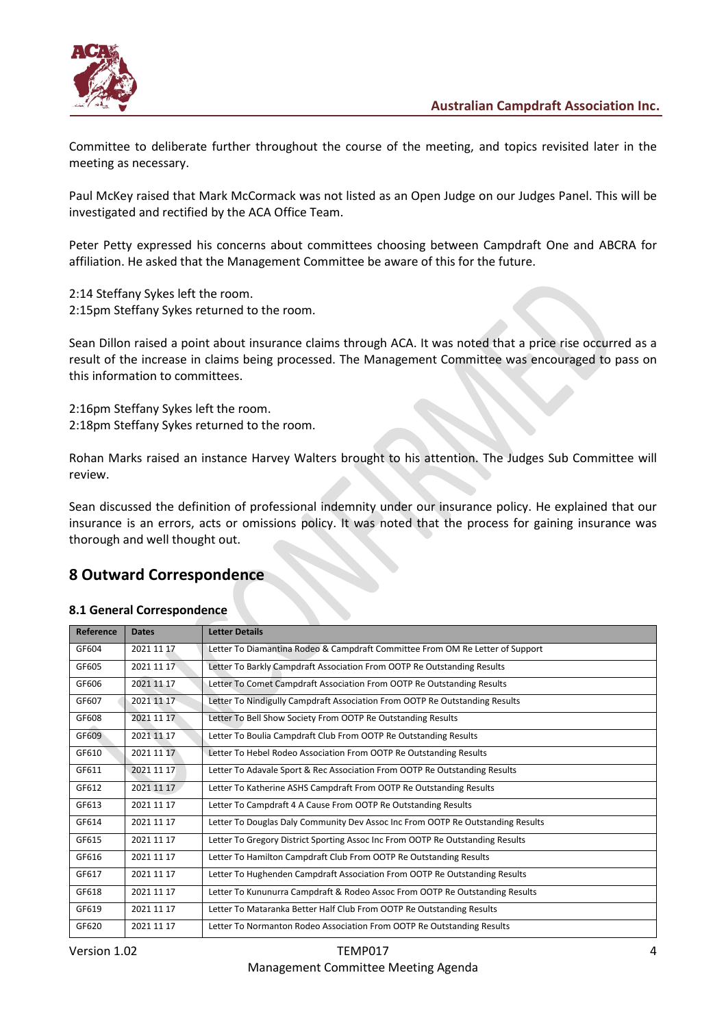

Committee to deliberate further throughout the course of the meeting, and topics revisited later in the meeting as necessary.

Paul McKey raised that Mark McCormack was not listed as an Open Judge on our Judges Panel. This will be investigated and rectified by the ACA Office Team.

Peter Petty expressed his concerns about committees choosing between Campdraft One and ABCRA for affiliation. He asked that the Management Committee be aware of this for the future.

2:14 Steffany Sykes left the room. 2:15pm Steffany Sykes returned to the room.

Sean Dillon raised a point about insurance claims through ACA. It was noted that a price rise occurred as a result of the increase in claims being processed. The Management Committee was encouraged to pass on this information to committees.

2:16pm Steffany Sykes left the room. 2:18pm Steffany Sykes returned to the room.

Rohan Marks raised an instance Harvey Walters brought to his attention. The Judges Sub Committee will review.

Sean discussed the definition of professional indemnity under our insurance policy. He explained that our insurance is an errors, acts or omissions policy. It was noted that the process for gaining insurance was thorough and well thought out.

## **8 Outward Correspondence**

#### **8.1 General Correspondence**

| Reference | <b>Dates</b> | <b>Letter Details</b>                                                           |  |  |
|-----------|--------------|---------------------------------------------------------------------------------|--|--|
| GF604     | 2021 11 17   | Letter To Diamantina Rodeo & Campdraft Committee From OM Re Letter of Support   |  |  |
| GF605     | 2021 11 17   | Letter To Barkly Campdraft Association From OOTP Re Outstanding Results         |  |  |
| GF606     | 2021 11 17   | Letter To Comet Campdraft Association From OOTP Re Outstanding Results          |  |  |
| GF607     | 2021 11 17   | Letter To Nindigully Campdraft Association From OOTP Re Outstanding Results     |  |  |
| GF608     | 2021 11 17   | Letter To Bell Show Society From OOTP Re Outstanding Results                    |  |  |
| GF609     | 2021 11 17   | Letter To Boulia Campdraft Club From OOTP Re Outstanding Results                |  |  |
| GF610     | 2021 11 17   | Letter To Hebel Rodeo Association From OOTP Re Outstanding Results              |  |  |
| GF611     | 2021 11 17   | Letter To Adavale Sport & Rec Association From OOTP Re Outstanding Results      |  |  |
| GF612     | 2021 11 17   | Letter To Katherine ASHS Campdraft From OOTP Re Outstanding Results             |  |  |
| GF613     | 2021 11 17   | Letter To Campdraft 4 A Cause From OOTP Re Outstanding Results                  |  |  |
| GF614     | 2021 11 17   | Letter To Douglas Daly Community Dev Assoc Inc From OOTP Re Outstanding Results |  |  |
| GF615     | 2021 11 17   | Letter To Gregory District Sporting Assoc Inc From OOTP Re Outstanding Results  |  |  |
| GF616     | 2021 11 17   | Letter To Hamilton Campdraft Club From OOTP Re Outstanding Results              |  |  |
| GF617     | 2021 11 17   | Letter To Hughenden Campdraft Association From OOTP Re Outstanding Results      |  |  |
| GF618     | 2021 11 17   | Letter To Kununurra Campdraft & Rodeo Assoc From OOTP Re Outstanding Results    |  |  |
| GF619     | 2021 11 17   | Letter To Mataranka Better Half Club From OOTP Re Outstanding Results           |  |  |
| GF620     | 2021 11 17   | Letter To Normanton Rodeo Association From OOTP Re Outstanding Results          |  |  |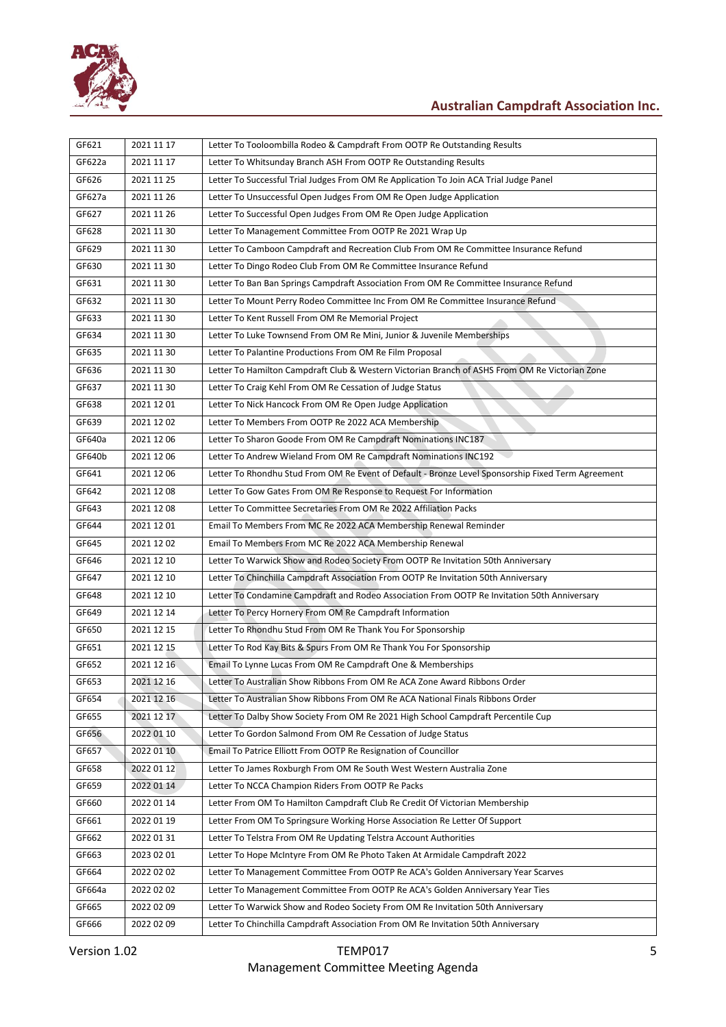

| GF621  | 2021 11 17 | Letter To Tooloombilla Rodeo & Campdraft From OOTP Re Outstanding Results                          |  |  |
|--------|------------|----------------------------------------------------------------------------------------------------|--|--|
| GF622a | 2021 11 17 | Letter To Whitsunday Branch ASH From OOTP Re Outstanding Results                                   |  |  |
| GF626  | 2021 11 25 | Letter To Successful Trial Judges From OM Re Application To Join ACA Trial Judge Panel             |  |  |
| GF627a | 2021 11 26 | Letter To Unsuccessful Open Judges From OM Re Open Judge Application                               |  |  |
| GF627  | 2021 11 26 | Letter To Successful Open Judges From OM Re Open Judge Application                                 |  |  |
| GF628  | 2021 11 30 | Letter To Management Committee From OOTP Re 2021 Wrap Up                                           |  |  |
| GF629  | 2021 11 30 | Letter To Camboon Campdraft and Recreation Club From OM Re Committee Insurance Refund              |  |  |
| GF630  | 2021 11 30 | Letter To Dingo Rodeo Club From OM Re Committee Insurance Refund                                   |  |  |
| GF631  | 2021 11 30 | Letter To Ban Ban Springs Campdraft Association From OM Re Committee Insurance Refund              |  |  |
| GF632  | 2021 11 30 | Letter To Mount Perry Rodeo Committee Inc From OM Re Committee Insurance Refund                    |  |  |
| GF633  | 2021 11 30 | Letter To Kent Russell From OM Re Memorial Project                                                 |  |  |
| GF634  | 2021 11 30 | Letter To Luke Townsend From OM Re Mini, Junior & Juvenile Memberships                             |  |  |
| GF635  | 2021 11 30 | Letter To Palantine Productions From OM Re Film Proposal                                           |  |  |
| GF636  | 2021 11 30 | Letter To Hamilton Campdraft Club & Western Victorian Branch of ASHS From OM Re Victorian Zone     |  |  |
| GF637  | 2021 11 30 | Letter To Craig Kehl From OM Re Cessation of Judge Status                                          |  |  |
| GF638  | 2021 12 01 | Letter To Nick Hancock From OM Re Open Judge Application                                           |  |  |
| GF639  | 2021 12 02 | Letter To Members From OOTP Re 2022 ACA Membership                                                 |  |  |
| GF640a | 2021 12 06 | Letter To Sharon Goode From OM Re Campdraft Nominations INC187                                     |  |  |
| GF640b | 2021 12 06 | Letter To Andrew Wieland From OM Re Campdraft Nominations INC192                                   |  |  |
| GF641  | 2021 12 06 | Letter To Rhondhu Stud From OM Re Event of Default - Bronze Level Sponsorship Fixed Term Agreement |  |  |
| GF642  | 2021 12 08 | Letter To Gow Gates From OM Re Response to Request For Information                                 |  |  |
| GF643  | 2021 12 08 | Letter To Committee Secretaries From OM Re 2022 Affiliation Packs                                  |  |  |
| GF644  | 2021 12 01 | Email To Members From MC Re 2022 ACA Membership Renewal Reminder                                   |  |  |
| GF645  | 2021 12 02 | Email To Members From MC Re 2022 ACA Membership Renewal                                            |  |  |
| GF646  | 2021 12 10 | Letter To Warwick Show and Rodeo Society From OOTP Re Invitation 50th Anniversary                  |  |  |
| GF647  | 2021 12 10 | Letter To Chinchilla Campdraft Association From OOTP Re Invitation 50th Anniversary                |  |  |
| GF648  | 2021 12 10 | Letter To Condamine Campdraft and Rodeo Association From OOTP Re Invitation 50th Anniversary       |  |  |
| GF649  | 2021 12 14 | Letter To Percy Hornery From OM Re Campdraft Information                                           |  |  |
| GF650  | 2021 12 15 | Letter To Rhondhu Stud From OM Re Thank You For Sponsorship                                        |  |  |
| GF651  | 2021 12 15 | Letter To Rod Kay Bits & Spurs From OM Re Thank You For Sponsorship                                |  |  |
| GF652  | 2021 12 16 | Email To Lynne Lucas From OM Re Campdraft One & Memberships                                        |  |  |
| GF653  | 2021 12 16 | Letter To Australian Show Ribbons From OM Re ACA Zone Award Ribbons Order                          |  |  |
| GF654  | 2021 12 16 | Letter To Australian Show Ribbons From OM Re ACA National Finals Ribbons Order                     |  |  |
| GF655  | 2021 12 17 | Letter To Dalby Show Society From OM Re 2021 High School Campdraft Percentile Cup                  |  |  |
| GF656  | 2022 01 10 | Letter To Gordon Salmond From OM Re Cessation of Judge Status                                      |  |  |
| GF657  | 2022 01 10 | Email To Patrice Elliott From OOTP Re Resignation of Councillor                                    |  |  |
| GF658  | 2022 01 12 | Letter To James Roxburgh From OM Re South West Western Australia Zone                              |  |  |
| GF659  | 2022 01 14 | Letter To NCCA Champion Riders From OOTP Re Packs                                                  |  |  |
| GF660  | 2022 01 14 | Letter From OM To Hamilton Campdraft Club Re Credit Of Victorian Membership                        |  |  |
| GF661  | 2022 01 19 | Letter From OM To Springsure Working Horse Association Re Letter Of Support                        |  |  |
| GF662  | 2022 01 31 | Letter To Telstra From OM Re Updating Telstra Account Authorities                                  |  |  |
| GF663  | 2023 02 01 | Letter To Hope McIntyre From OM Re Photo Taken At Armidale Campdraft 2022                          |  |  |
| GF664  | 2022 02 02 | Letter To Management Committee From OOTP Re ACA's Golden Anniversary Year Scarves                  |  |  |
| GF664a | 2022 02 02 | Letter To Management Committee From OOTP Re ACA's Golden Anniversary Year Ties                     |  |  |
| GF665  | 2022 02 09 | Letter To Warwick Show and Rodeo Society From OM Re Invitation 50th Anniversary                    |  |  |
| GF666  | 2022 02 09 | Letter To Chinchilla Campdraft Association From OM Re Invitation 50th Anniversary                  |  |  |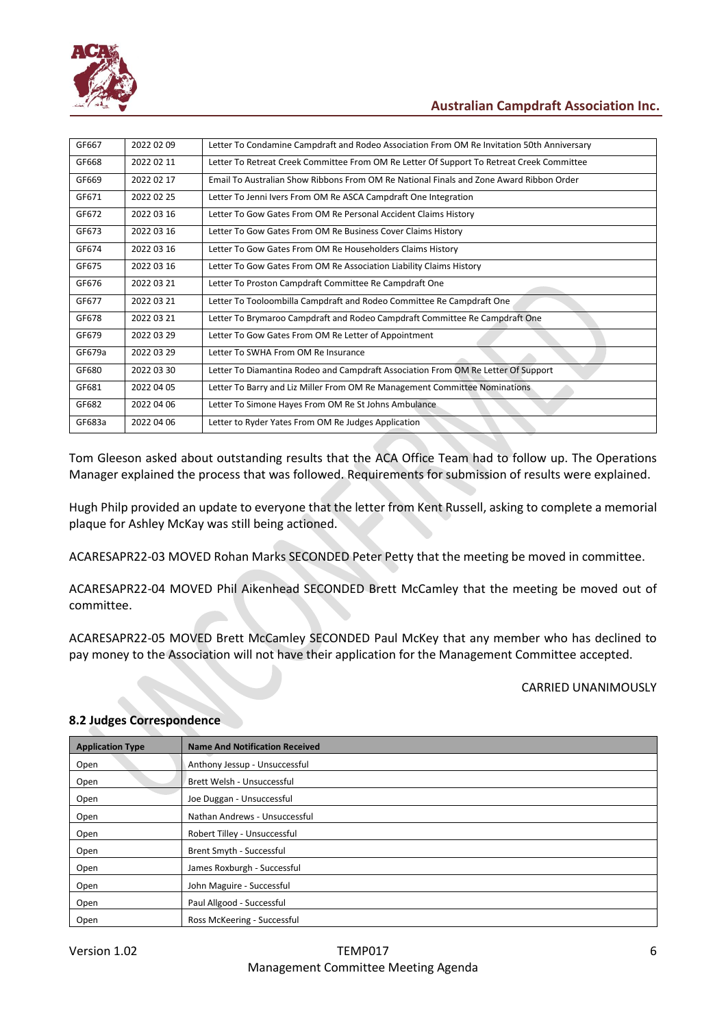

| GF667  | 2022 02 09 | Letter To Condamine Campdraft and Rodeo Association From OM Re Invitation 50th Anniversary |  |  |
|--------|------------|--------------------------------------------------------------------------------------------|--|--|
| GF668  | 2022 02 11 | Letter To Retreat Creek Committee From OM Re Letter Of Support To Retreat Creek Committee  |  |  |
| GF669  | 2022 02 17 | Email To Australian Show Ribbons From OM Re National Finals and Zone Award Ribbon Order    |  |  |
| GF671  | 2022 02 25 | Letter To Jenni Ivers From OM Re ASCA Campdraft One Integration                            |  |  |
| GF672  | 2022 03 16 | Letter To Gow Gates From OM Re Personal Accident Claims History                            |  |  |
| GF673  | 2022 03 16 | Letter To Gow Gates From OM Re Business Cover Claims History                               |  |  |
| GF674  | 2022 03 16 | Letter To Gow Gates From OM Re Householders Claims History                                 |  |  |
| GF675  | 2022 03 16 | Letter To Gow Gates From OM Re Association Liability Claims History                        |  |  |
| GF676  | 2022 03 21 | Letter To Proston Campdraft Committee Re Campdraft One                                     |  |  |
| GF677  | 2022 03 21 | Letter To Tooloombilla Campdraft and Rodeo Committee Re Campdraft One                      |  |  |
| GF678  | 2022 03 21 | Letter To Brymaroo Campdraft and Rodeo Campdraft Committee Re Campdraft One                |  |  |
| GF679  | 2022 03 29 | Letter To Gow Gates From OM Re Letter of Appointment                                       |  |  |
| GF679a | 2022 03 29 | Letter To SWHA From OM Re Insurance                                                        |  |  |
| GF680  | 2022 03 30 | Letter To Diamantina Rodeo and Campdraft Association From OM Re Letter Of Support          |  |  |
| GF681  | 2022 04 05 | Letter To Barry and Liz Miller From OM Re Management Committee Nominations                 |  |  |
| GF682  | 2022 04 06 | Letter To Simone Hayes From OM Re St Johns Ambulance                                       |  |  |
| GF683a | 2022 04 06 | Letter to Ryder Yates From OM Re Judges Application                                        |  |  |

Tom Gleeson asked about outstanding results that the ACA Office Team had to follow up. The Operations Manager explained the process that was followed. Requirements for submission of results were explained.

Hugh Philp provided an update to everyone that the letter from Kent Russell, asking to complete a memorial plaque for Ashley McKay was still being actioned.

ACARESAPR22-03 MOVED Rohan Marks SECONDED Peter Petty that the meeting be moved in committee.

ACARESAPR22-04 MOVED Phil Aikenhead SECONDED Brett McCamley that the meeting be moved out of committee.

ACARESAPR22-05 MOVED Brett McCamley SECONDED Paul McKey that any member who has declined to pay money to the Association will not have their application for the Management Committee accepted.

CARRIED UNANIMOUSLY

| <b>Application Type</b> | <b>Name And Notification Received</b> |
|-------------------------|---------------------------------------|
| Open                    | Anthony Jessup - Unsuccessful         |
| Open                    | Brett Welsh - Unsuccessful            |
| Open                    | Joe Duggan - Unsuccessful             |
| Open                    | Nathan Andrews - Unsuccessful         |
| Open                    | Robert Tilley - Unsuccessful          |
| Open                    | Brent Smyth - Successful              |
| Open                    | James Roxburgh - Successful           |
| Open                    | John Maguire - Successful             |
| Open                    | Paul Allgood - Successful             |
| Open                    | Ross McKeering - Successful           |

### **8.2 Judges Correspondence**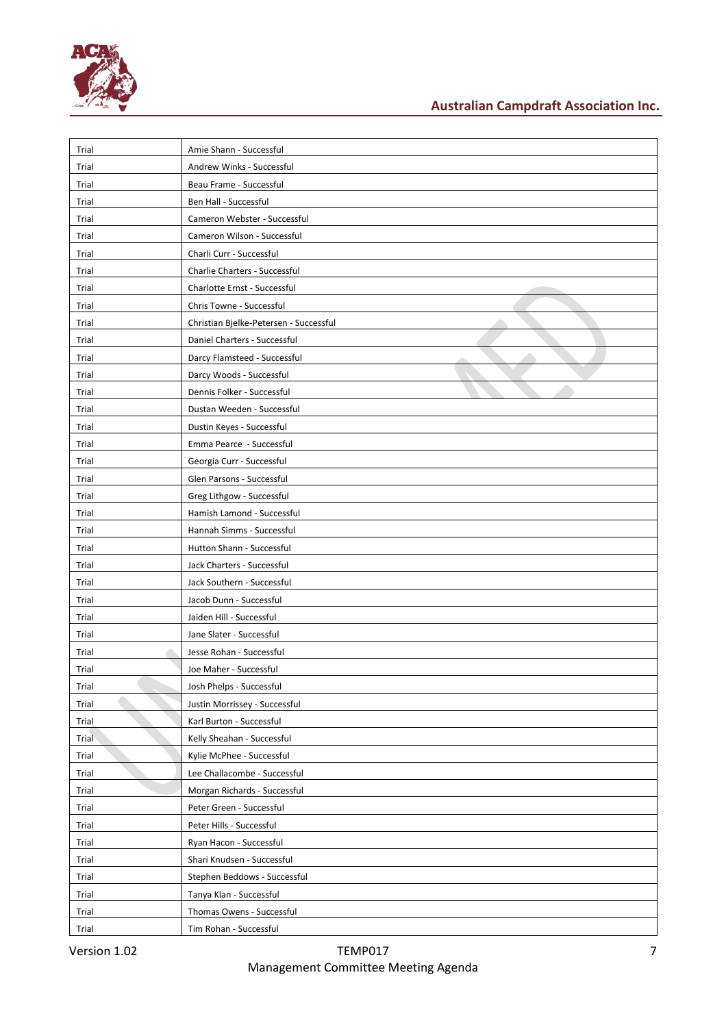

| Trial | Amie Shann - Successful                |
|-------|----------------------------------------|
| Trial | Andrew Winks - Successful              |
| Trial | Beau Frame - Successful                |
| Trial | Ben Hall - Successful                  |
| Trial | Cameron Webster - Successful           |
| Trial | Cameron Wilson - Successful            |
| Trial | Charli Curr - Successful               |
| Trial | Charlie Charters - Successful          |
| Trial | Charlotte Ernst - Successful           |
| Trial | Chris Towne - Successful               |
| Trial | Christian Bjelke-Petersen - Successful |
| Trial | Daniel Charters - Successful           |
| Trial | Darcy Flamsteed - Successful           |
| Trial | Darcy Woods - Successful               |
| Trial | Dennis Folker - Successful             |
| Trial | Dustan Weeden - Successful             |
| Trial | Dustin Keyes - Successful              |
| Trial | Emma Pearce - Successful               |
| Trial | Georgia Curr - Successful              |
| Trial | Glen Parsons - Successful              |
| Trial | Greg Lithgow - Successful              |
| Trial | Hamish Lamond - Successful             |
| Trial | Hannah Simms - Successful              |
| Trial | Hutton Shann - Successful              |
| Trial | Jack Charters - Successful             |
| Trial | Jack Southern - Successful             |
| Trial | Jacob Dunn - Successful                |
| Trial | Jaiden Hill - Successful               |
| Trial | Jane Slater - Successful               |
| Trial | Jesse Rohan - Successful               |
| Trial | Joe Maher - Successful                 |
| Trial | Josh Phelps - Successful               |
| Trial | Justin Morrissey - Successful          |
| Trial | Karl Burton - Successful               |
| Trial | Kelly Sheahan - Successful             |
| Trial | Kylie McPhee - Successful              |
| Trial | Lee Challacombe - Successful           |
| Trial | Morgan Richards - Successful           |
| Trial | Peter Green - Successful               |
| Trial | Peter Hills - Successful               |
| Trial | Ryan Hacon - Successful                |
| Trial | Shari Knudsen - Successful             |
| Trial | Stephen Beddows - Successful           |
| Trial | Tanya Klan - Successful                |
| Trial | Thomas Owens - Successful              |
| Trial | Tim Rohan - Successful                 |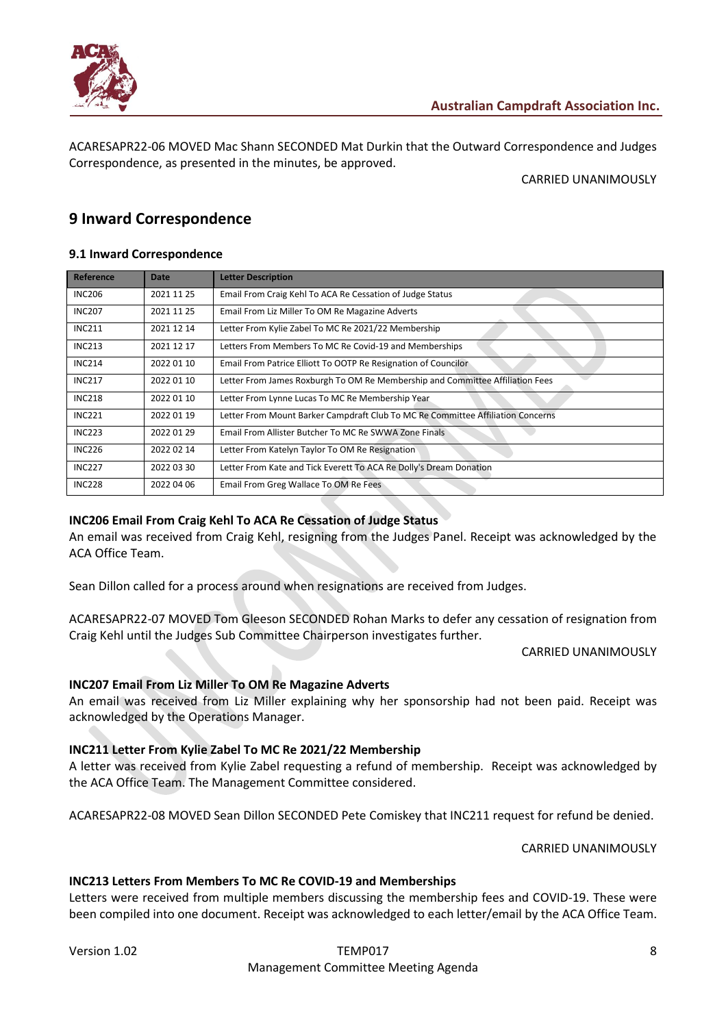

ACARESAPR22-06 MOVED Mac Shann SECONDED Mat Durkin that the Outward Correspondence and Judges Correspondence, as presented in the minutes, be approved.

CARRIED UNANIMOUSLY

# **9 Inward Correspondence**

### **9.1 Inward Correspondence**

| Reference     | <b>Date</b> | <b>Letter Description</b>                                                       |  |  |
|---------------|-------------|---------------------------------------------------------------------------------|--|--|
| <b>INC206</b> | 2021 11 25  | Email From Craig Kehl To ACA Re Cessation of Judge Status                       |  |  |
| <b>INC207</b> | 2021 11 25  | Email From Liz Miller To OM Re Magazine Adverts                                 |  |  |
| <b>INC211</b> | 2021 12 14  | Letter From Kylie Zabel To MC Re 2021/22 Membership                             |  |  |
| <b>INC213</b> | 2021 12 17  | Letters From Members To MC Re Covid-19 and Memberships                          |  |  |
| <b>INC214</b> | 2022 01 10  | Email From Patrice Elliott To OOTP Re Resignation of Councilor                  |  |  |
| <b>INC217</b> | 2022 01 10  | Letter From James Roxburgh To OM Re Membership and Committee Affiliation Fees   |  |  |
| <b>INC218</b> | 2022 01 10  | Letter From Lynne Lucas To MC Re Membership Year                                |  |  |
| <b>INC221</b> | 2022 01 19  | Letter From Mount Barker Campdraft Club To MC Re Committee Affiliation Concerns |  |  |
| <b>INC223</b> | 2022 01 29  | Email From Allister Butcher To MC Re SWWA Zone Finals                           |  |  |
| <b>INC226</b> | 2022 02 14  | Letter From Katelyn Taylor To OM Re Resignation                                 |  |  |
| <b>INC227</b> | 2022 03 30  | Letter From Kate and Tick Everett To ACA Re Dolly's Dream Donation              |  |  |
| <b>INC228</b> | 2022 04 06  | Email From Greg Wallace To OM Re Fees                                           |  |  |

### **INC206 Email From Craig Kehl To ACA Re Cessation of Judge Status**

An email was received from Craig Kehl, resigning from the Judges Panel. Receipt was acknowledged by the ACA Office Team.

Sean Dillon called for a process around when resignations are received from Judges.

ACARESAPR22-07 MOVED Tom Gleeson SECONDED Rohan Marks to defer any cessation of resignation from Craig Kehl until the Judges Sub Committee Chairperson investigates further.

CARRIED UNANIMOUSLY

### **INC207 Email From Liz Miller To OM Re Magazine Adverts**

An email was received from Liz Miller explaining why her sponsorship had not been paid. Receipt was acknowledged by the Operations Manager.

### **INC211 Letter From Kylie Zabel To MC Re 2021/22 Membership**

A letter was received from Kylie Zabel requesting a refund of membership. Receipt was acknowledged by the ACA Office Team. The Management Committee considered.

ACARESAPR22-08 MOVED Sean Dillon SECONDED Pete Comiskey that INC211 request for refund be denied.

CARRIED UNANIMOUSLY

#### **INC213 Letters From Members To MC Re COVID-19 and Memberships**

Letters were received from multiple members discussing the membership fees and COVID-19. These were been compiled into one document. Receipt was acknowledged to each letter/email by the ACA Office Team.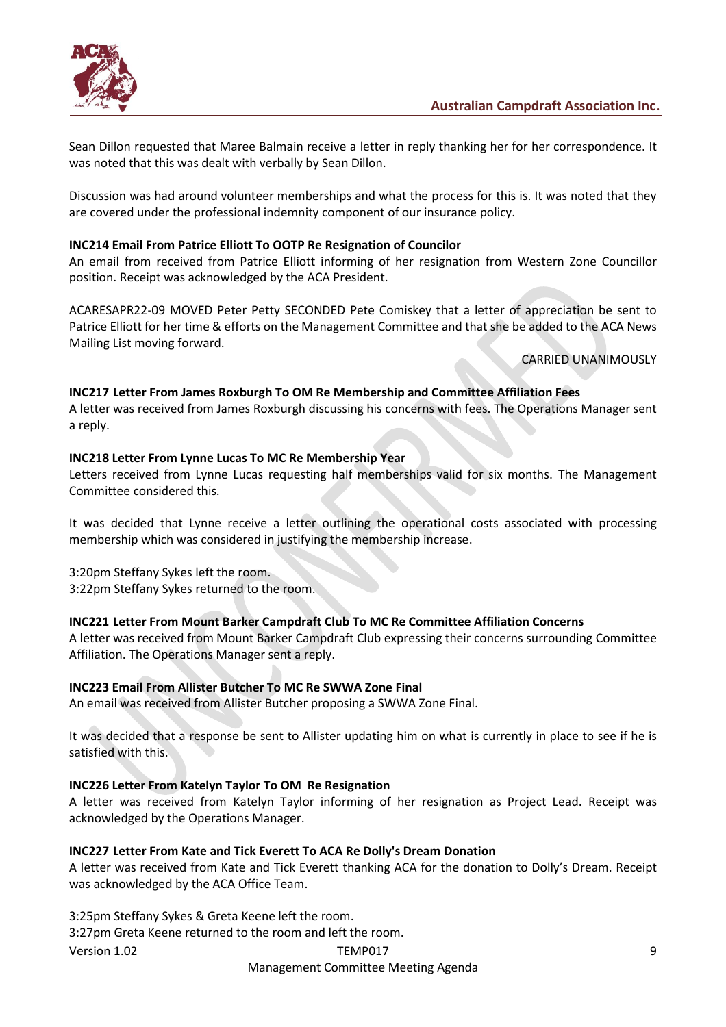

Sean Dillon requested that Maree Balmain receive a letter in reply thanking her for her correspondence. It was noted that this was dealt with verbally by Sean Dillon.

Discussion was had around volunteer memberships and what the process for this is. It was noted that they are covered under the professional indemnity component of our insurance policy.

### **INC214 Email From Patrice Elliott To OOTP Re Resignation of Councilor**

An email from received from Patrice Elliott informing of her resignation from Western Zone Councillor position. Receipt was acknowledged by the ACA President.

ACARESAPR22-09 MOVED Peter Petty SECONDED Pete Comiskey that a letter of appreciation be sent to Patrice Elliott for her time & efforts on the Management Committee and that she be added to the ACA News Mailing List moving forward.

CARRIED UNANIMOUSLY

#### **INC217 Letter From James Roxburgh To OM Re Membership and Committee Affiliation Fees**

A letter was received from James Roxburgh discussing his concerns with fees. The Operations Manager sent a reply.

#### **INC218 Letter From Lynne Lucas To MC Re Membership Year**

Letters received from Lynne Lucas requesting half memberships valid for six months. The Management Committee considered this.

It was decided that Lynne receive a letter outlining the operational costs associated with processing membership which was considered in justifying the membership increase.

3:20pm Steffany Sykes left the room. 3:22pm Steffany Sykes returned to the room.

#### **INC221 Letter From Mount Barker Campdraft Club To MC Re Committee Affiliation Concerns**

A letter was received from Mount Barker Campdraft Club expressing their concerns surrounding Committee Affiliation. The Operations Manager sent a reply.

#### **INC223 Email From Allister Butcher To MC Re SWWA Zone Final**

An email was received from Allister Butcher proposing a SWWA Zone Final.

It was decided that a response be sent to Allister updating him on what is currently in place to see if he is satisfied with this.

#### **INC226 Letter From Katelyn Taylor To OM Re Resignation**

A letter was received from Katelyn Taylor informing of her resignation as Project Lead. Receipt was acknowledged by the Operations Manager.

### **INC227 Letter From Kate and Tick Everett To ACA Re Dolly's Dream Donation**

A letter was received from Kate and Tick Everett thanking ACA for the donation to Dolly's Dream. Receipt was acknowledged by the ACA Office Team.

Version 1.02 **South American Contract Contract Contract Contract Contract Contract Contract Contract Contract Contract Contract Contract Contract Contract Contract Contract Contract Contract Contract Contract Contract Cont** Management Committee Meeting Agenda 3:25pm Steffany Sykes & Greta Keene left the room. 3:27pm Greta Keene returned to the room and left the room.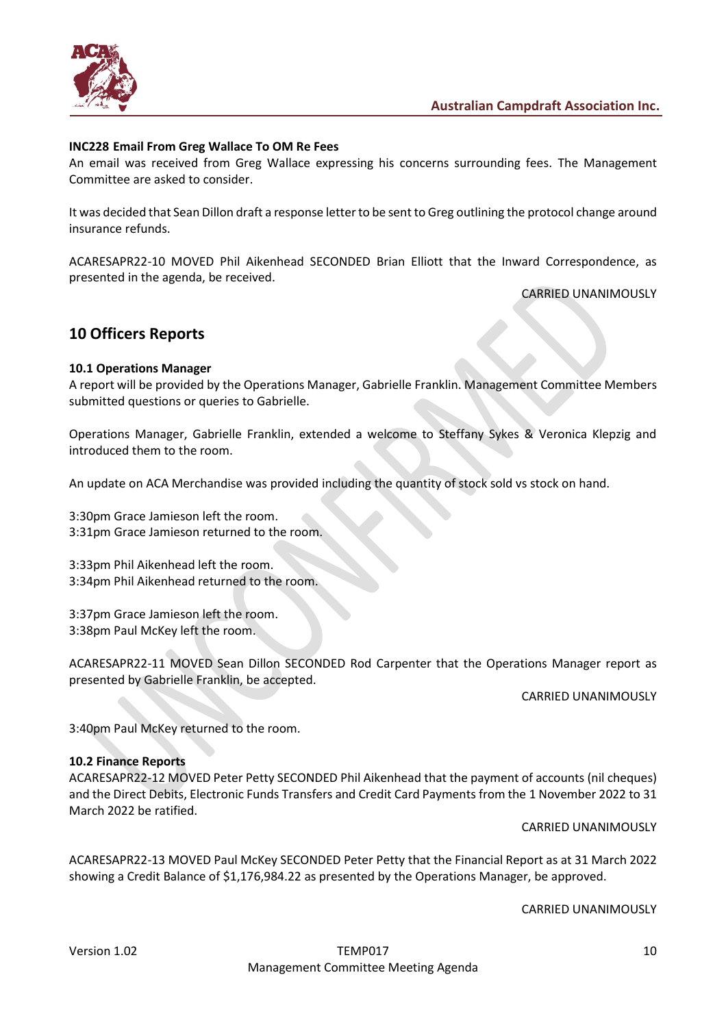

### **INC228 Email From Greg Wallace To OM Re Fees**

An email was received from Greg Wallace expressing his concerns surrounding fees. The Management Committee are asked to consider.

It was decided that Sean Dillon draft a response letter to be sent to Greg outlining the protocol change around insurance refunds.

ACARESAPR22-10 MOVED Phil Aikenhead SECONDED Brian Elliott that the Inward Correspondence, as presented in the agenda, be received.

#### CARRIED UNANIMOUSLY

## **10 Officers Reports**

### **10.1 Operations Manager**

A report will be provided by the Operations Manager, Gabrielle Franklin. Management Committee Members submitted questions or queries to Gabrielle.

Operations Manager, Gabrielle Franklin, extended a welcome to Steffany Sykes & Veronica Klepzig and introduced them to the room.

An update on ACA Merchandise was provided including the quantity of stock sold vs stock on hand.

3:30pm Grace Jamieson left the room. 3:31pm Grace Jamieson returned to the room.

3:33pm Phil Aikenhead left the room. 3:34pm Phil Aikenhead returned to the room.

3:37pm Grace Jamieson left the room. 3:38pm Paul McKey left the room.

ACARESAPR22-11 MOVED Sean Dillon SECONDED Rod Carpenter that the Operations Manager report as presented by Gabrielle Franklin, be accepted.

#### CARRIED UNANIMOUSLY

3:40pm Paul McKey returned to the room.

#### **10.2 Finance Reports**

ACARESAPR22-12 MOVED Peter Petty SECONDED Phil Aikenhead that the payment of accounts (nil cheques) and the Direct Debits, Electronic Funds Transfers and Credit Card Payments from the 1 November 2022 to 31 March 2022 be ratified.

#### CARRIED UNANIMOUSLY

ACARESAPR22-13 MOVED Paul McKey SECONDED Peter Petty that the Financial Report as at 31 March 2022 showing a Credit Balance of \$1,176,984.22 as presented by the Operations Manager, be approved.

#### CARRIED UNANIMOUSLY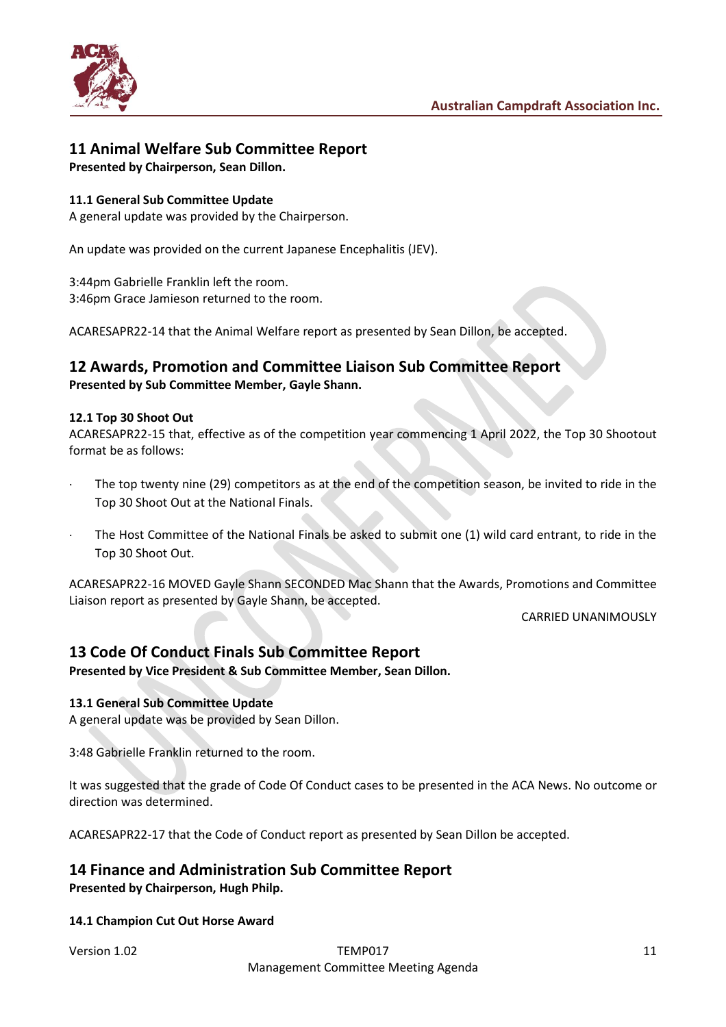

# **11 Animal Welfare Sub Committee Report**

**Presented by Chairperson, Sean Dillon.**

### **11.1 General Sub Committee Update**

A general update was provided by the Chairperson.

An update was provided on the current Japanese Encephalitis (JEV).

3:44pm Gabrielle Franklin left the room. 3:46pm Grace Jamieson returned to the room.

ACARESAPR22-14 that the Animal Welfare report as presented by Sean Dillon, be accepted.

### **12 Awards, Promotion and Committee Liaison Sub Committee Report Presented by Sub Committee Member, Gayle Shann.**

### **12.1 Top 30 Shoot Out**

ACARESAPR22-15 that, effective as of the competition year commencing 1 April 2022, the Top 30 Shootout format be as follows:

- The top twenty nine (29) competitors as at the end of the competition season, be invited to ride in the Top 30 Shoot Out at the National Finals.
- The Host Committee of the National Finals be asked to submit one (1) wild card entrant, to ride in the Top 30 Shoot Out.

ACARESAPR22-16 MOVED Gayle Shann SECONDED Mac Shann that the Awards, Promotions and Committee Liaison report as presented by Gayle Shann, be accepted.

CARRIED UNANIMOUSLY

## **13 Code Of Conduct Finals Sub Committee Report**

**Presented by Vice President & Sub Committee Member, Sean Dillon.**

### **13.1 General Sub Committee Update**

A general update was be provided by Sean Dillon.

3:48 Gabrielle Franklin returned to the room.

It was suggested that the grade of Code Of Conduct cases to be presented in the ACA News. No outcome or direction was determined.

ACARESAPR22-17 that the Code of Conduct report as presented by Sean Dillon be accepted.

## **14 Finance and Administration Sub Committee Report**

**Presented by Chairperson, Hugh Philp.**

### **14.1 Champion Cut Out Horse Award**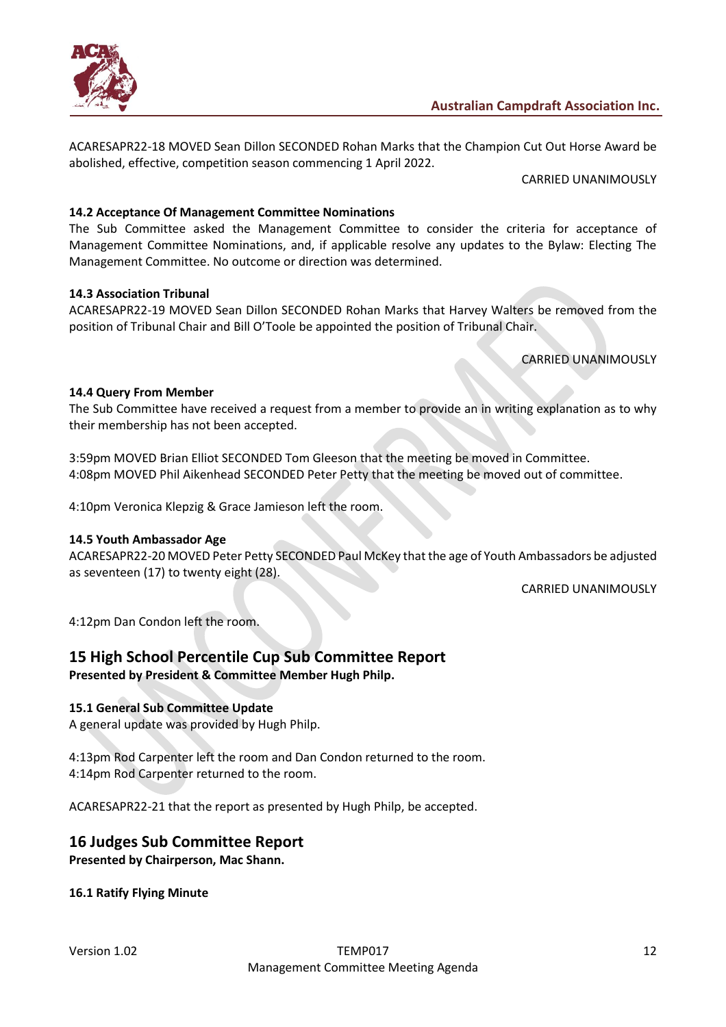

ACARESAPR22-18 MOVED Sean Dillon SECONDED Rohan Marks that the Champion Cut Out Horse Award be abolished, effective, competition season commencing 1 April 2022.

CARRIED UNANIMOUSLY

### **14.2 Acceptance Of Management Committee Nominations**

The Sub Committee asked the Management Committee to consider the criteria for acceptance of Management Committee Nominations, and, if applicable resolve any updates to the Bylaw: Electing The Management Committee. No outcome or direction was determined.

### **14.3 Association Tribunal**

ACARESAPR22-19 MOVED Sean Dillon SECONDED Rohan Marks that Harvey Walters be removed from the position of Tribunal Chair and Bill O'Toole be appointed the position of Tribunal Chair.

CARRIED UNANIMOUSLY

### **14.4 Query From Member**

The Sub Committee have received a request from a member to provide an in writing explanation as to why their membership has not been accepted.

3:59pm MOVED Brian Elliot SECONDED Tom Gleeson that the meeting be moved in Committee. 4:08pm MOVED Phil Aikenhead SECONDED Peter Petty that the meeting be moved out of committee.

4:10pm Veronica Klepzig & Grace Jamieson left the room.

### **14.5 Youth Ambassador Age**

ACARESAPR22-20 MOVED Peter Petty SECONDED Paul McKey that the age of Youth Ambassadors be adjusted as seventeen (17) to twenty eight (28).

CARRIED UNANIMOUSLY

4:12pm Dan Condon left the room.

## **15 High School Percentile Cup Sub Committee Report**

**Presented by President & Committee Member Hugh Philp.**

### **15.1 General Sub Committee Update**

A general update was provided by Hugh Philp.

4:13pm Rod Carpenter left the room and Dan Condon returned to the room. 4:14pm Rod Carpenter returned to the room.

ACARESAPR22-21 that the report as presented by Hugh Philp, be accepted.

### **16 Judges Sub Committee Report**

**Presented by Chairperson, Mac Shann.**

**16.1 Ratify Flying Minute**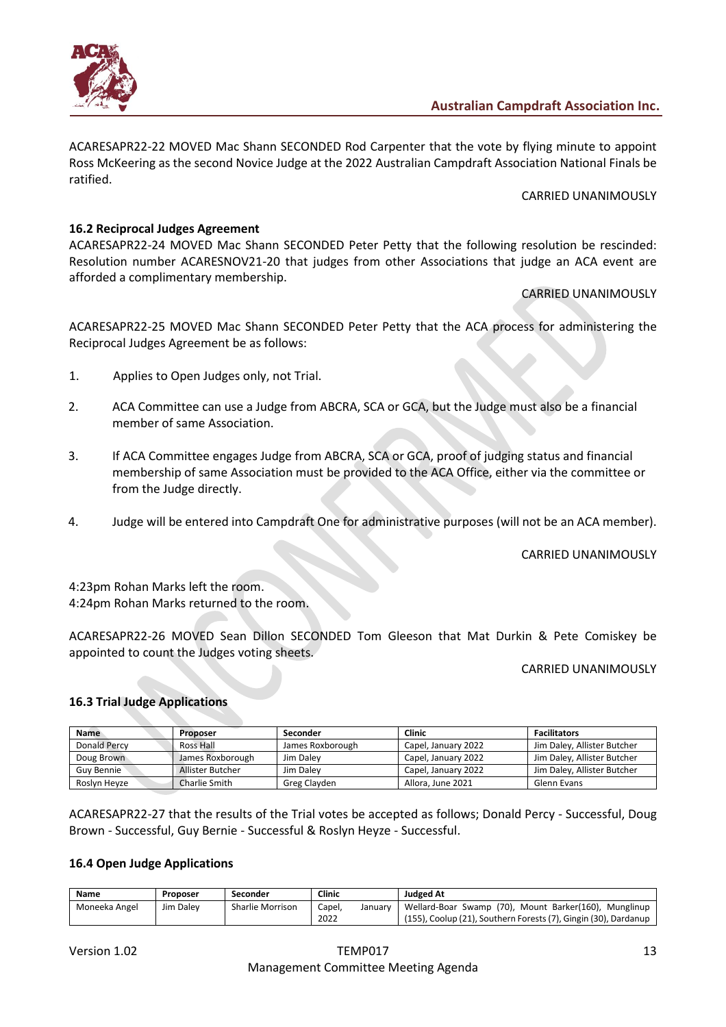

ACARESAPR22-22 MOVED Mac Shann SECONDED Rod Carpenter that the vote by flying minute to appoint Ross McKeering as the second Novice Judge at the 2022 Australian Campdraft Association National Finals be ratified.

CARRIED UNANIMOUSLY

### **16.2 Reciprocal Judges Agreement**

ACARESAPR22-24 MOVED Mac Shann SECONDED Peter Petty that the following resolution be rescinded: Resolution number ACARESNOV21-20 that judges from other Associations that judge an ACA event are afforded a complimentary membership.

#### CARRIED UNANIMOUSLY

ACARESAPR22-25 MOVED Mac Shann SECONDED Peter Petty that the ACA process for administering the Reciprocal Judges Agreement be as follows:

- 1. Applies to Open Judges only, not Trial.
- 2. ACA Committee can use a Judge from ABCRA, SCA or GCA, but the Judge must also be a financial member of same Association.
- 3. If ACA Committee engages Judge from ABCRA, SCA or GCA, proof of judging status and financial membership of same Association must be provided to the ACA Office, either via the committee or from the Judge directly.
- 4. Judge will be entered into Campdraft One for administrative purposes (will not be an ACA member).

CARRIED UNANIMOUSLY

4:23pm Rohan Marks left the room. 4:24pm Rohan Marks returned to the room.

ACARESAPR22-26 MOVED Sean Dillon SECONDED Tom Gleeson that Mat Durkin & Pete Comiskey be appointed to count the Judges voting sheets.

#### CARRIED UNANIMOUSLY

### **16.3 Trial Judge Applications**

| <b>Name</b><br>Proposer        |               | Seconder     | Clinic              | <b>Facilitators</b>         |
|--------------------------------|---------------|--------------|---------------------|-----------------------------|
| <b>Donald Percy</b>            | Ross Hall     |              | Capel, January 2022 | Jim Daley, Allister Butcher |
| James Roxborough<br>Doug Brown |               | Jim Dalev    | Capel, January 2022 | Jim Daley, Allister Butcher |
| Guv Bennie<br>Allister Butcher |               | Jim Dalev    | Capel, January 2022 | Jim Daley, Allister Butcher |
| Roslyn Hevze                   | Charlie Smith | Greg Clayden | Allora, June 2021   | Glenn Evans                 |

ACARESAPR22-27 that the results of the Trial votes be accepted as follows; Donald Percy - Successful, Doug Brown - Successful, Guy Bernie - Successful & Roslyn Heyze - Successful.

#### **16.4 Open Judge Applications**

| Name          | Proposer  | Seconder         | Clinic |         | <b>Judged At</b>                                                |
|---------------|-----------|------------------|--------|---------|-----------------------------------------------------------------|
| Moneeka Angel | Jim Dalev | Sharlie Morrison | Capel, | Januarv | Wellard-Boar Swamp (70), Mount Barker(160), Munglinup           |
|               |           |                  | 2022   |         | (155), Coolup (21), Southern Forests (7), Gingin (30), Dardanup |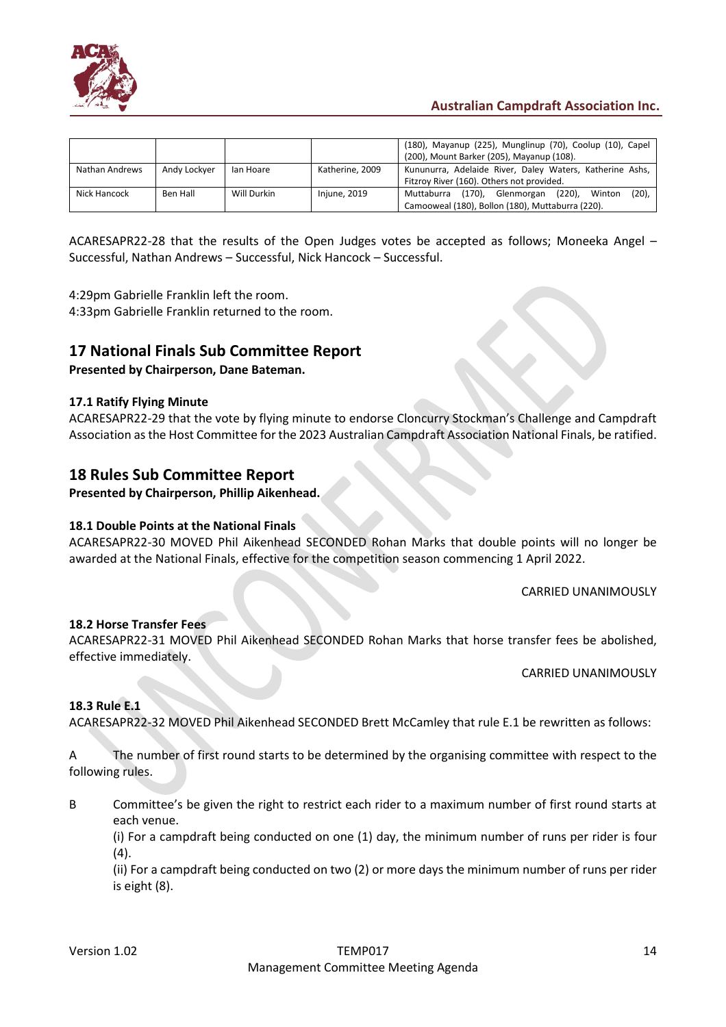

|                |              |             |                 | (180), Mayanup (225), Munglinup (70), Coolup (10), Capel<br>(200), Mount Barker (205), Mayanup (108). |
|----------------|--------------|-------------|-----------------|-------------------------------------------------------------------------------------------------------|
| Nathan Andrews | Andy Lockyer | lan Hoare   | Katherine, 2009 | Kununurra, Adelaide River, Daley Waters, Katherine Ashs,                                              |
|                |              |             |                 | Fitzroy River (160). Others not provided.                                                             |
| Nick Hancock   | Ben Hall     | Will Durkin | Injune, 2019    | (220), Winton<br>(170), Glenmorgan<br>(20)<br>Muttaburra                                              |
|                |              |             |                 | Camooweal (180), Bollon (180), Muttaburra (220).                                                      |

ACARESAPR22-28 that the results of the Open Judges votes be accepted as follows; Moneeka Angel – Successful, Nathan Andrews – Successful, Nick Hancock – Successful.

4:29pm Gabrielle Franklin left the room. 4:33pm Gabrielle Franklin returned to the room.

# **17 National Finals Sub Committee Report**

**Presented by Chairperson, Dane Bateman.**

### **17.1 Ratify Flying Minute**

ACARESAPR22-29 that the vote by flying minute to endorse Cloncurry Stockman's Challenge and Campdraft Association as the Host Committee for the 2023 Australian Campdraft Association National Finals, be ratified.

### **18 Rules Sub Committee Report**

**Presented by Chairperson, Phillip Aikenhead.**

### **18.1 Double Points at the National Finals**

ACARESAPR22-30 MOVED Phil Aikenhead SECONDED Rohan Marks that double points will no longer be awarded at the National Finals, effective for the competition season commencing 1 April 2022.

CARRIED UNANIMOUSLY

### **18.2 Horse Transfer Fees**

ACARESAPR22-31 MOVED Phil Aikenhead SECONDED Rohan Marks that horse transfer fees be abolished, effective immediately.

CARRIED UNANIMOUSLY

### **18.3 Rule E.1**

ACARESAPR22-32 MOVED Phil Aikenhead SECONDED Brett McCamley that rule E.1 be rewritten as follows:

A The number of first round starts to be determined by the organising committee with respect to the following rules.

B Committee's be given the right to restrict each rider to a maximum number of first round starts at each venue.

(i) For a campdraft being conducted on one (1) day, the minimum number of runs per rider is four  $(4).$ 

(ii) For a campdraft being conducted on two (2) or more days the minimum number of runs per rider is eight (8).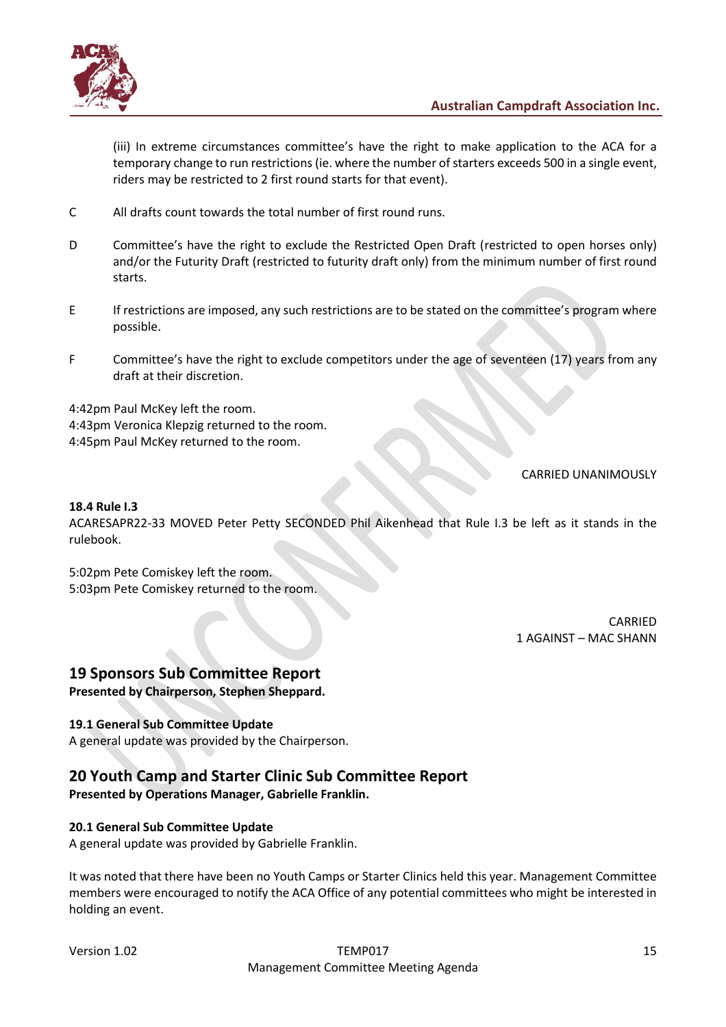

(iii) In extreme circumstances committee's have the right to make application to the ACA for a temporary change to run restrictions (ie. where the number of starters exceeds 500 in a single event, riders may be restricted to 2 first round starts for that event).

- C All drafts count towards the total number of first round runs.
- D Committee's have the right to exclude the Restricted Open Draft (restricted to open horses only) and/or the Futurity Draft (restricted to futurity draft only) from the minimum number of first round starts.
- E If restrictions are imposed, any such restrictions are to be stated on the committee's program where possible.
- F Committee's have the right to exclude competitors under the age of seventeen (17) years from any draft at their discretion.

4:42pm Paul McKey left the room.

4:43pm Veronica Klepzig returned to the room.

4:45pm Paul McKey returned to the room.

### CARRIED UNANIMOUSLY

#### **18.4 Rule I.3**

ACARESAPR22-33 MOVED Peter Petty SECONDED Phil Aikenhead that Rule I.3 be left as it stands in the rulebook.

5:02pm Pete Comiskey left the room. 5:03pm Pete Comiskey returned to the room.

> CARRIED 1 AGAINST – MAC SHANN

### **19 Sponsors Sub Committee Report**

**Presented by Chairperson, Stephen Sheppard.**

### **19.1 General Sub Committee Update**

A general update was provided by the Chairperson.

### **20 Youth Camp and Starter Clinic Sub Committee Report Presented by Operations Manager, Gabrielle Franklin.**

### **20.1 General Sub Committee Update**

A general update was provided by Gabrielle Franklin.

It was noted that there have been no Youth Camps or Starter Clinics held this year. Management Committee members were encouraged to notify the ACA Office of any potential committees who might be interested in holding an event.